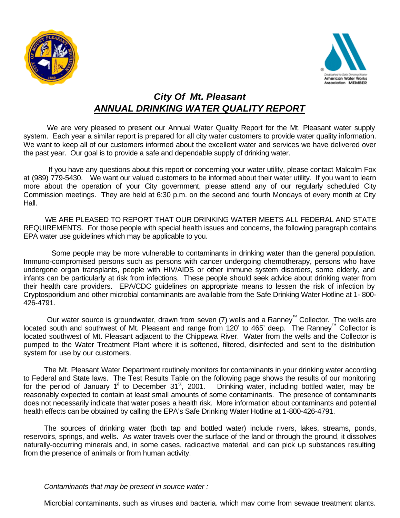



## *City Of Mt. Pleasant ANNUAL DRINKING WATER QUALITY REPORT*

We are very pleased to present our Annual Water Quality Report for the Mt. Pleasant water supply system. Each year a similar report is prepared for all city water customers to provide water quality information. We want to keep all of our customers informed about the excellent water and services we have delivered over the past year. Our goal is to provide a safe and dependable supply of drinking water.

 If you have any questions about this report or concerning your water utility, please contact Malcolm Fox at (989) 779-5430.We want our valued customers to be informed about their water utility. If you want to learn more about the operation of your City government, please attend any of our regularly scheduled City Commission meetings. They are held at 6:30 p.m. on the second and fourth Mondays of every month at City Hall.

WE ARE PLEASED TO REPORT THAT OUR DRINKING WATER MEETS ALL FEDERAL AND STATE REQUIREMENTS. For those people with special health issues and concerns, the following paragraph contains EPA water use guidelines which may be applicable to you.

 Some people may be more vulnerable to contaminants in drinking water than the general population. Immuno-compromised persons such as persons with cancer undergoing chemotherapy, persons who have undergone organ transplants, people with HIV/AIDS or other immune system disorders, some elderly, and infants can be particularly at risk from infections. These people should seek advice about drinking water from their health care providers. EPA/CDC guidelines on appropriate means to lessen the risk of infection by Cryptosporidium and other microbial contaminants are available from the Safe Drinking Water Hotline at 1- 800- 426-4791.

Our water source is groundwater, drawn from seven (7) wells and a Ranney™ Collector. The wells are located south and southwest of Mt. Pleasant and range from 120' to 465' deep. The Ranney™ Collector is located southwest of Mt. Pleasant adjacent to the Chippewa River. Water from the wells and the Collector is pumped to the Water Treatment Plant where it is softened, filtered, disinfected and sent to the distribution system for use by our customers.

The Mt. Pleasant Water Department routinely monitors for contaminants in your drinking water according to Federal and State laws. The Test Results Table on the following page shows the results of our monitoring for the period of January  $f^{\text{t}}$  to December 31<sup>st</sup>, 2001. Drinking water, including bottled water, may be reasonably expected to contain at least small amounts of some contaminants. The presence of contaminants does not necessarily indicate that water poses a health risk. More information about contaminants and potential health effects can be obtained by calling the EPA's Safe Drinking Water Hotline at 1-800-426-4791.

The sources of drinking water (both tap and bottled water) include rivers, lakes, streams, ponds, reservoirs, springs, and wells. As water travels over the surface of the land or through the ground, it dissolves naturally-occurring minerals and, in some cases, radioactive material, and can pick up substances resulting from the presence of animals or from human activity.

## *Contaminants that may be present in source water :*

Microbial contaminants, such as viruses and bacteria, which may come from sewage treatment plants,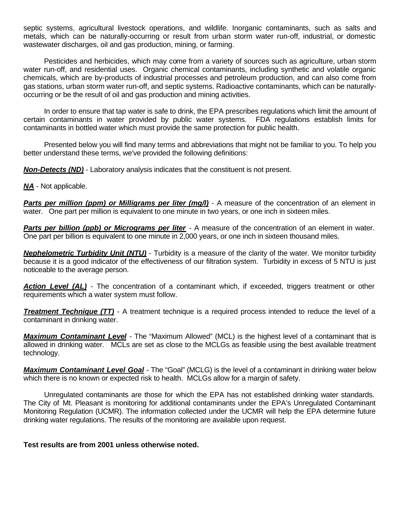septic systems, agricultural livestock operations, and wildlife. Inorganic contaminants, such as salts and metals, which can be naturally-occurring or result from urban storm water run-off, industrial, or domestic wastewater discharges, oil and gas production, mining, or farming.

Pesticides and herbicides, which may come from a variety of sources such as agriculture, urban storm water run-off, and residential uses. Organic chemical contaminants, including synthetic and volatile organic chemicals, which are by-products of industrial processes and petroleum production, and can also come from gas stations, urban storm water run-off, and septic systems. Radioactive contaminants, which can be naturallyoccurring or be the result of oil and gas production and mining activities.

In order to ensure that tap water is safe to drink, the EPA prescribes regulations which limit the amount of certain contaminants in water provided by public water systems. FDA regulations establish limits for contaminants in bottled water which must provide the same protection for public health.

Presented below you will find many terms and abbreviations that might not be familiar to you. To help you better understand these terms, we've provided the following definitions:

*Non-Detects (ND)* - Laboratory analysis indicates that the constituent is not present.

*NA* - Not applicable.

**Parts per million (ppm) or Milligrams per liter (mg/l)** - A measure of the concentration of an element in water. One part per million is equivalent to one minute in two years, or one inch in sixteen miles.

**Parts per billion (ppb) or Micrograms per liter** - A measure of the concentration of an element in water. One part per billion is equivalent to one minute in 2,000 years, or one inch in sixteen thousand miles.

*Nephelometric Turbidity Unit (NTU)* - Turbidity is a measure of the clarity of the water. We monitor turbidity because it is a good indicator of the effectiveness of our filtration system. Turbidity in excess of 5 NTU is just noticeable to the average person.

*Action Level (AL)* - The concentration of a contaminant which, if exceeded, triggers treatment or other requirements which a water system must follow.

*Treatment Technique (TT)* - A treatment technique is a required process intended to reduce the level of a contaminant in drinking water.

*Maximum Contaminant Level* - The "Maximum Allowed" (MCL) is the highest level of a contaminant that is allowed in drinking water. MCLs are set as close to the MCLGs as feasible using the best available treatment technology.

*Maximum Contaminant Level Goal* - The "Goal" (MCLG) is the level of a contaminant in drinking water below which there is no known or expected risk to health. MCLGs allow for a margin of safety.

Unregulated contaminants are those for which the EPA has not established drinking water standards. The City of Mt. Pleasant is monitoring for additional contaminants under the EPA's Unregulated Contaminant Monitoring Regulation (UCMR). The information collected under the UCMR will help the EPA determine future drinking water regulations. The results of the monitoring are available upon request.

**Test results are from 2001 unless otherwise noted.**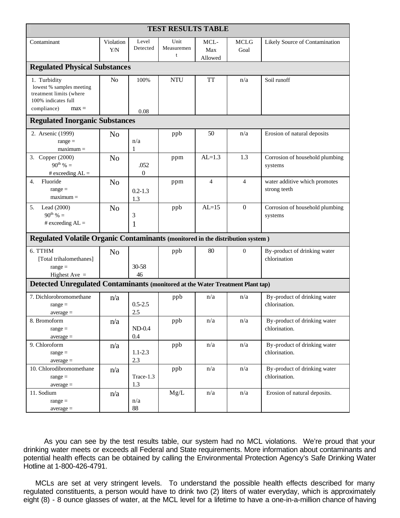| <b>TEST RESULTS TABLE</b>                                                                                            |                         |                        |                         |                        |                     |                                               |
|----------------------------------------------------------------------------------------------------------------------|-------------------------|------------------------|-------------------------|------------------------|---------------------|-----------------------------------------------|
| Contaminant                                                                                                          | Violation<br><b>Y/N</b> | Level<br>Detected      | Unit<br>Measuremen<br>t | MCL-<br>Max<br>Allowed | <b>MCLG</b><br>Goal | Likely Source of Contamination                |
| <b>Regulated Physical Substances</b>                                                                                 |                         |                        |                         |                        |                     |                                               |
| 1. Turbidity<br>lowest % samples meeting<br>treatment limits (where<br>100% indicates full<br>compliance)<br>$max =$ | N <sub>o</sub>          | 100%<br>0.08           | <b>NTU</b>              | <b>TT</b>              | n/a                 | Soil runoff                                   |
| <b>Regulated Inorganic Substances</b>                                                                                |                         |                        |                         |                        |                     |                                               |
| 2. Arsenic (1999)<br>$range =$<br>$maximum =$                                                                        | N <sub>o</sub>          | n/a<br>$\mathbf{1}$    | ppb                     | 50                     | n/a                 | Erosion of natural deposits                   |
| 3. Copper (2000)<br>$90^{th}$ % =<br># exceeding $AL =$                                                              | N <sub>o</sub>          | .052<br>$\overline{0}$ | ppm                     | $AL=1.3$               | 1.3                 | Corrosion of household plumbing<br>systems    |
| Fluoride<br>4.<br>$range =$<br>$maximum =$                                                                           | N <sub>o</sub>          | $0.2 - 1.3$<br>1.3     | ppm                     | $\overline{4}$         | $\overline{4}$      | water additive which promotes<br>strong teeth |
| 5.<br>Lead $(2000)$<br>$90^{th}$ % =<br># exceeding $AL =$                                                           | N <sub>o</sub>          | 3<br>$\mathbf{1}$      | ppb                     | $AL=15$                | $\boldsymbol{0}$    | Corrosion of household plumbing<br>systems    |
| Regulated Volatile Organic Contaminants (monitored in the distribution system)                                       |                         |                        |                         |                        |                     |                                               |
| 6. TTHM<br>[Total trihalomethanes]<br>$range =$<br>Highest Ave $=$                                                   | N <sub>0</sub>          | 30-58<br>46            | ppb                     | 80                     | $\theta$            | By-product of drinking water<br>chlorination  |
| Detected Unregulated Contaminants (monitored at the Water Treatment Plant tap)                                       |                         |                        |                         |                        |                     |                                               |
| 7. Dichlorobromomethane<br>$range =$<br>$average =$                                                                  | n/a                     | $0.5 - 2.5$<br>2.5     | ppb                     | n/a                    | n/a                 | By-product of drinking water<br>chlorination. |
| 8. Bromoform<br>$range =$<br>$average =$                                                                             | n/a                     | $ND-0.4$<br>0.4        | ppb                     | n/a                    | n/a                 | By-product of drinking water<br>chlorination. |
| 9. Chloroform<br>$range =$<br>$average =$                                                                            | n/a                     | $1.1 - 2.3$<br>2.3     | ppb                     | n/a                    | n/a                 | By-product of drinking water<br>chlorination. |
| 10. Chlorodibromomethane<br>$range =$<br>$average =$                                                                 | n/a                     | Trace-1.3<br>1.3       | ppb                     | n/a                    | n/a                 | By-product of drinking water<br>chlorination. |
| 11. Sodium<br>$range =$<br>$average =$                                                                               | n/a                     | n/a<br>88              | Mg/L                    | n/a                    | n/a                 | Erosion of natural deposits.                  |

As you can see by the test results table, our system had no MCL violations. We're proud that your drinking water meets or exceeds all Federal and State requirements. More information about contaminants and potential health effects can be obtained by calling the Environmental Protection Agency's Safe Drinking Water Hotline at 1-800-426-4791.

MCLs are set at very stringent levels. To understand the possible health effects described for many regulated constituents, a person would have to drink two (2) liters of water everyday, which is approximately eight (8) - 8 ounce glasses of water, at the MCL level for a lifetime to have a one-in-a-million chance of having